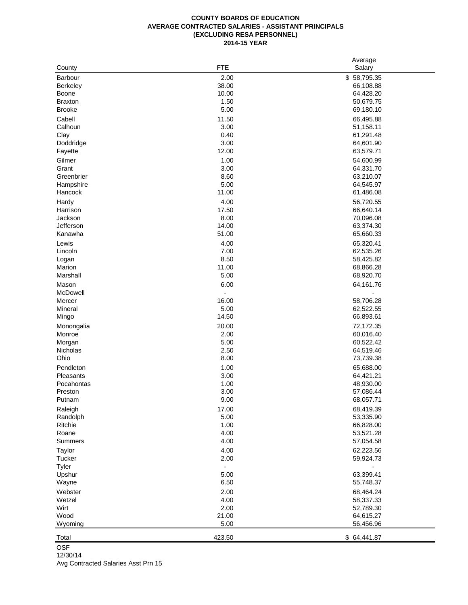## **COUNTY BOARDS OF EDUCATION AVERAGE CONTRACTED SALARIES - ASSISTANT PRINCIPALS (EXCLUDING RESA PERSONNEL) 2014-15 YEAR**

|                 |                | Average     |
|-----------------|----------------|-------------|
| County          | <b>FTE</b>     | Salary      |
| <b>Barbour</b>  | 2.00           | \$58,795.35 |
| <b>Berkeley</b> | 38.00          | 66,108.88   |
| Boone           | 10.00          | 64,428.20   |
| <b>Braxton</b>  | 1.50           | 50,679.75   |
| <b>Brooke</b>   | 5.00           | 69,180.10   |
| Cabell          | 11.50          | 66,495.88   |
| Calhoun         | 3.00           | 51,158.11   |
| Clay            | 0.40           | 61,291.48   |
| Doddridge       | 3.00           | 64,601.90   |
| Fayette         | 12.00          | 63,579.71   |
| Gilmer          | 1.00           | 54,600.99   |
| Grant           | 3.00           | 64,331.70   |
| Greenbrier      | 8.60           | 63,210.07   |
| Hampshire       | 5.00           | 64,545.97   |
| Hancock         | 11.00          | 61,486.08   |
|                 |                |             |
| Hardy           | 4.00           | 56,720.55   |
| Harrison        | 17.50          | 66,640.14   |
| Jackson         | 8.00           | 70,096.08   |
| Jefferson       | 14.00          | 63,374.30   |
| Kanawha         | 51.00          | 65,660.33   |
| Lewis           | 4.00           | 65,320.41   |
| Lincoln         | 7.00           | 62,535.26   |
| Logan           | 8.50           | 58,425.82   |
| Marion          | 11.00          | 68,866.28   |
| Marshall        | 5.00           | 68,920.70   |
| Mason           | 6.00           | 64,161.76   |
| McDowell        |                |             |
| Mercer          | 16.00          | 58,706.28   |
| Mineral         | 5.00           | 62,522.55   |
| Mingo           | 14.50          | 66,893.61   |
| Monongalia      | 20.00          | 72,172.35   |
| Monroe          | 2.00           | 60,016.40   |
| Morgan          | 5.00           | 60,522.42   |
| Nicholas        | 2.50           | 64,519.46   |
| Ohio            | 8.00           | 73,739.38   |
| Pendleton       | 1.00           |             |
|                 |                | 65,688.00   |
| Pleasants       | 3.00           | 64,421.21   |
| Pocahontas      | 1.00           | 48,930.00   |
| Preston         | 3.00           | 57,086.44   |
| Putnam          | 9.00           | 68,057.71   |
| Raleigh         | 17.00          | 68,419.39   |
| Randolph        | 5.00           | 53,335.90   |
| Ritchie         | 1.00           | 66,828.00   |
| Roane           | 4.00           | 53,521.28   |
| <b>Summers</b>  | 4.00           | 57,054.58   |
| Taylor          | 4.00           | 62,223.56   |
| Tucker          | 2.00           | 59,924.73   |
| Tyler           | $\overline{a}$ |             |
| Upshur          | 5.00           | 63,399.41   |
| Wayne           | 6.50           | 55,748.37   |
| Webster         | 2.00           | 68,464.24   |
| Wetzel          | 4.00           | 58,337.33   |
| Wirt            | 2.00           | 52,789.30   |
| Wood            | 21.00          | 64,615.27   |
| Wyoming         | 5.00           | 56,456.96   |
|                 |                |             |
| Total           | 423.50         | \$64,441.87 |

**OSF** 

12/30/14

Avg Contracted Salaries Asst Prn 15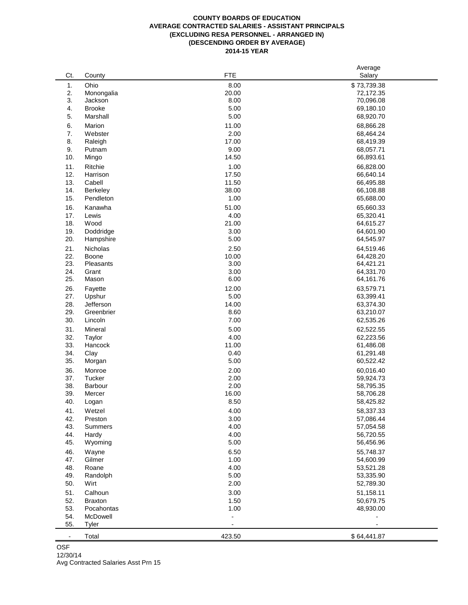## **COUNTY BOARDS OF EDUCATION AVERAGE CONTRACTED SALARIES - ASSISTANT PRINCIPALS (EXCLUDING RESA PERSONNEL - ARRANGED IN) (DESCENDING ORDER BY AVERAGE) 2014-15 YEAR**

|                |                 | <b>FTE</b>    | Average                |
|----------------|-----------------|---------------|------------------------|
| Ct.            | County          |               | Salary                 |
| 1.             | Ohio            | 8.00          | \$73,739.38            |
| 2.             | Monongalia      | 20.00         | 72,172.35              |
| 3.             | Jackson         | 8.00          | 70,096.08              |
| 4.             | <b>Brooke</b>   | 5.00          | 69,180.10              |
| 5.             | Marshall        | 5.00          | 68,920.70              |
| 6.             | Marion          | 11.00         | 68,866.28              |
| 7.             | Webster         | 2.00          | 68,464.24              |
| 8.             | Raleigh         | 17.00         | 68,419.39              |
| 9.             | Putnam          | 9.00          | 68,057.71              |
| 10.            | Mingo           | 14.50         | 66,893.61              |
| 11.            | Ritchie         | 1.00          | 66,828.00              |
| 12.            | Harrison        | 17.50         | 66,640.14              |
| 13.            | Cabell          | 11.50         | 66,495.88              |
| 14.            | <b>Berkeley</b> | 38.00         | 66,108.88              |
| 15.            | Pendleton       | 1.00          | 65,688.00              |
| 16.            | Kanawha         | 51.00         | 65,660.33              |
| 17.            | Lewis           | 4.00          | 65,320.41              |
| 18.            | Wood            | 21.00         | 64,615.27              |
| 19.            | Doddridge       | 3.00          | 64,601.90              |
| 20.            | Hampshire       | 5.00          | 64,545.97              |
| 21.            | Nicholas        | 2.50          | 64,519.46              |
| 22.            | Boone           | 10.00         | 64,428.20              |
| 23.            | Pleasants       | 3.00          | 64,421.21              |
| 24.            | Grant           | 3.00          | 64,331.70              |
| 25.            | Mason           | 6.00          | 64,161.76              |
| 26.            | Fayette         | 12.00         | 63,579.71              |
| 27.            | Upshur          | 5.00          | 63,399.41              |
| 28.            | Jefferson       | 14.00         | 63,374.30              |
| 29.            | Greenbrier      | 8.60          | 63,210.07              |
| 30.            | Lincoln         | 7.00          | 62,535.26              |
| 31.            | Mineral         | 5.00          | 62,522.55              |
| 32.            | Taylor          | 4.00          | 62,223.56              |
| 33.            | Hancock         | 11.00         | 61,486.08              |
| 34.            | Clay            | 0.40          | 61,291.48              |
| 35.            | Morgan          | 5.00          | 60,522.42              |
| 36.            | Monroe          | 2.00          | 60,016.40              |
| 37.            | Tucker          | 2.00          |                        |
| 38.            | Barbour         | 2.00          | 59,924.73<br>58,795.35 |
| 39.            | Mercer          | 16.00         |                        |
| 40.            | Logan           | 8.50          | 58,706.28<br>58,425.82 |
|                |                 |               |                        |
| 41.            | Wetzel          | 4.00          | 58,337.33              |
| 42.            | Preston         | 3.00          | 57,086.44              |
| 43.            | Summers         | 4.00          | 57,054.58              |
| 44.            | Hardy           | 4.00          | 56,720.55              |
| 45.            | Wyoming         | 5.00          | 56,456.96              |
| 46.            | Wayne           | 6.50          | 55,748.37              |
| 47.            | Gilmer          | 1.00          | 54,600.99              |
| 48.            | Roane           | 4.00          | 53,521.28              |
| 49.            | Randolph        | 5.00          | 53,335.90              |
| 50.            | Wirt            | 2.00          | 52,789.30              |
| 51.            | Calhoun         | 3.00          | 51,158.11              |
| 52.            | <b>Braxton</b>  | 1.50          | 50,679.75              |
| 53.            | Pocahontas      | 1.00          | 48,930.00              |
| 54.            | McDowell        | $\frac{1}{2}$ |                        |
| 55.            | <b>Tyler</b>    |               |                        |
| $\blacksquare$ | Total           | 423.50        | \$64,441.87            |

**OSF** Avg Contracted Salaries Asst Prn 15 12/30/14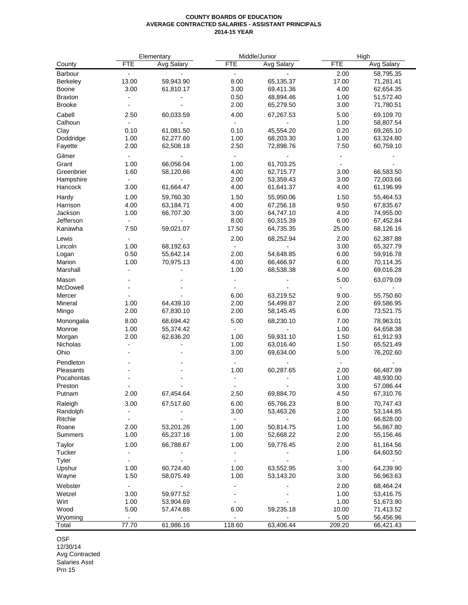## **COUNTY BOARDS OF EDUCATION AVERAGE CONTRACTED SALARIES - ASSISTANT PRINCIPALS 2014-15 YEAR**

|                |                          | Elementary        | Middle/Junior            |                   |                          | High              |  |
|----------------|--------------------------|-------------------|--------------------------|-------------------|--------------------------|-------------------|--|
| County         | <b>FTE</b>               | <b>Avg Salary</b> | <b>FTE</b>               | <b>Avg Salary</b> | <b>FTE</b>               | <b>Avg Salary</b> |  |
| Barbour        | $\overline{\phantom{a}}$ |                   | $\blacksquare$           |                   | 2.00                     | 58,795.35         |  |
| Berkeley       | 13.00                    | 59,943.90         | 8.00                     | 65,135.37         | 17.00                    | 71,281.41         |  |
| Boone          | 3.00                     | 61,810.17         | 3.00                     | 69,411.36         | 4.00                     | 62,654.35         |  |
| <b>Braxton</b> | $\overline{a}$           |                   | 0.50                     | 48,894.46         | 1.00                     | 51,572.40         |  |
| <b>Brooke</b>  |                          |                   | 2.00                     | 65,279.50         | 3.00                     |                   |  |
|                |                          |                   |                          |                   |                          | 71,780.51         |  |
| Cabell         | 2.50                     | 60,033.59         | 4.00                     | 67,267.53         | 5.00                     | 69,109.70         |  |
| Calhoun        | $\overline{a}$           |                   | $\blacksquare$           |                   | 1.00                     | 58,807.54         |  |
| Clay           | 0.10                     | 61,081.50         | 0.10                     | 45,554.20         | 0.20                     | 69,265.10         |  |
| Doddridge      | 1.00                     | 62,277.60         | 1.00                     | 68,203.30         | 1.00                     | 63,324.80         |  |
| Fayette        | 2.00                     | 62,508.18         | 2.50                     | 72,898.76         | 7.50                     | 60,759.10         |  |
| Gilmer         | $\overline{\phantom{a}}$ |                   | $\overline{\phantom{a}}$ |                   | $\overline{a}$           |                   |  |
| Grant          | 1.00                     | 66,056.04         | 1.00                     | 61,703.25         | $\overline{\phantom{a}}$ |                   |  |
| Greenbrier     | 1.60                     | 58,120.66         | 4.00                     | 62,715.77         | 3.00                     | 66,583.50         |  |
| Hampshire      | $\overline{\phantom{a}}$ |                   | 2.00                     | 53,359.43         | 3.00                     | 72,003.66         |  |
| Hancock        | 3.00                     |                   | 4.00                     |                   | 4.00                     |                   |  |
|                |                          | 61,664.47         |                          | 61,641.37         |                          | 61,196.99         |  |
| Hardy          | 1.00                     | 59,760.30         | 1.50                     | 55,950.06         | 1.50                     | 55,464.53         |  |
| Harrison       | 4.00                     | 63,184.71         | 4.00                     | 67,256.18         | 9.50                     | 67,835.67         |  |
| Jackson        | 1.00                     | 66,707.30         | 3.00                     | 64,747.10         | 4.00                     | 74,955.00         |  |
| Jefferson      | $\blacksquare$           |                   | 8.00                     | 60,315.39         | 6.00                     | 67,452.84         |  |
| Kanawha        | 7.50                     | 59,021.07         | 17.50                    | 64,735.35         | 25.00                    | 68,126.16         |  |
| Lewis          |                          |                   | 2.00                     | 68,252.94         | 2.00                     | 62,387.88         |  |
| Lincoln        | 1.00                     | 68,192.63         | $\blacksquare$           |                   | 3.00                     | 65,327.79         |  |
| Logan          | 0.50                     | 55,642.14         | 2.00                     | 54,648.85         | 6.00                     | 59,916.78         |  |
| Marion         | 1.00                     | 70,975.13         | 4.00                     | 66,466.97         | 6.00                     | 70,114.35         |  |
| Marshall       | $\overline{a}$           |                   | 1.00                     |                   | 4.00                     |                   |  |
|                |                          |                   |                          | 68,538.38         |                          | 69,016.28         |  |
| Mason          |                          |                   |                          |                   | 5.00                     | 63,079.09         |  |
| McDowell       |                          |                   |                          |                   |                          |                   |  |
| Mercer         |                          |                   | 6.00                     | 63,219.52         | 9.00                     | 55,750.60         |  |
| Mineral        | 1.00                     | 64,439.10         | 2.00                     | 54,499.87         | 2.00                     | 69,586.95         |  |
| Mingo          | 2.00                     | 67,830.10         | 2.00                     | 58,145.45         | 6.00                     | 73,521.75         |  |
| Monongalia     | 8.00                     | 68,694.42         | 5.00                     | 68,230.10         | 7.00                     | 78,963.01         |  |
| Monroe         | 1.00                     | 55,374.42         | $\overline{\phantom{a}}$ |                   | 1.00                     | 64,658.38         |  |
| Morgan         | 2.00                     | 62,636.20         | 1.00                     | 59,931.10         | 1.50                     | 61,912.93         |  |
| Nicholas       | $\overline{a}$           |                   | 1.00                     | 63,016.40         | 1.50                     | 65,521.49         |  |
| Ohio           |                          |                   | 3.00                     | 69,634.00         | 5.00                     | 76,202.60         |  |
|                |                          |                   |                          |                   |                          |                   |  |
| Pendleton      |                          |                   | $\blacksquare$           |                   | $\overline{\phantom{a}}$ |                   |  |
| Pleasants      |                          |                   | 1.00                     | 60,287.65         | 2.00                     | 66,487.99         |  |
| Pocahontas     |                          |                   |                          |                   | 1.00                     | 48,930.00         |  |
| Preston        |                          |                   |                          |                   | 3.00                     | 57,086.44         |  |
| Putnam         | 2.00                     | 67,454.64         | 2.50                     | 69,884.70         | 4.50                     | 67,310.76         |  |
| Raleigh        | 3.00                     | 67,517.60         | 6.00                     | 65,766.23         | 8.00                     | 70,747.43         |  |
| Randolph       |                          |                   | 3.00                     | 53,463.26         | 2.00                     | 53,144.85         |  |
| Ritchie        | $\overline{\phantom{a}}$ |                   | $\blacksquare$           |                   | 1.00                     | 66,828.00         |  |
| Roane          | 2.00                     | 53,201.28         | 1.00                     | 50,814.75         | 1.00                     | 56,867.80         |  |
| Summers        | 1.00                     | 65,237.16         | 1.00                     | 52,668.22         | 2.00                     | 55,156.46         |  |
|                |                          |                   |                          |                   |                          |                   |  |
| Taylor         | 1.00                     | 66,788.67         | 1.00                     | 59,776.45         | 2.00                     | 61,164.56         |  |
| Tucker         |                          |                   | $\overline{\phantom{a}}$ |                   | 1.00                     | 64,603.50         |  |
| Tyler          | $\overline{\phantom{0}}$ |                   |                          |                   | $\blacksquare$           |                   |  |
| Upshur         | 1.00                     | 60,724.40         | 1.00                     | 63,552.95         | 3.00                     | 64,239.90         |  |
| Wayne          | 1.50                     | 58,075.49         | 1.00                     | 53,143.20         | 3.00                     | 56,963.63         |  |
| Webster        | $\blacksquare$           |                   |                          |                   | 2.00                     | 68,464.24         |  |
| Wetzel         | 3.00                     | 59,977.52         |                          |                   | 1.00                     | 53,416.75         |  |
| Wirt           | 1.00                     | 53,904.69         |                          |                   | 1.00                     | 51,673.90         |  |
| Wood           | 5.00                     | 57,474.88         | 6.00                     | 59,235.18         | 10.00                    | 71,413.52         |  |
| Wyoming        | $\blacksquare$           |                   | $\blacksquare$           |                   | 5.00                     | 56,456.96         |  |
| Total          | 77.70                    | 61,986.16         | 118.60                   | 63,406.44         | 209.20                   | 66,421.43         |  |
|                |                          |                   |                          |                   |                          |                   |  |

OSF 12/30/14 Avg Contracted Salaries Asst

Prn 15